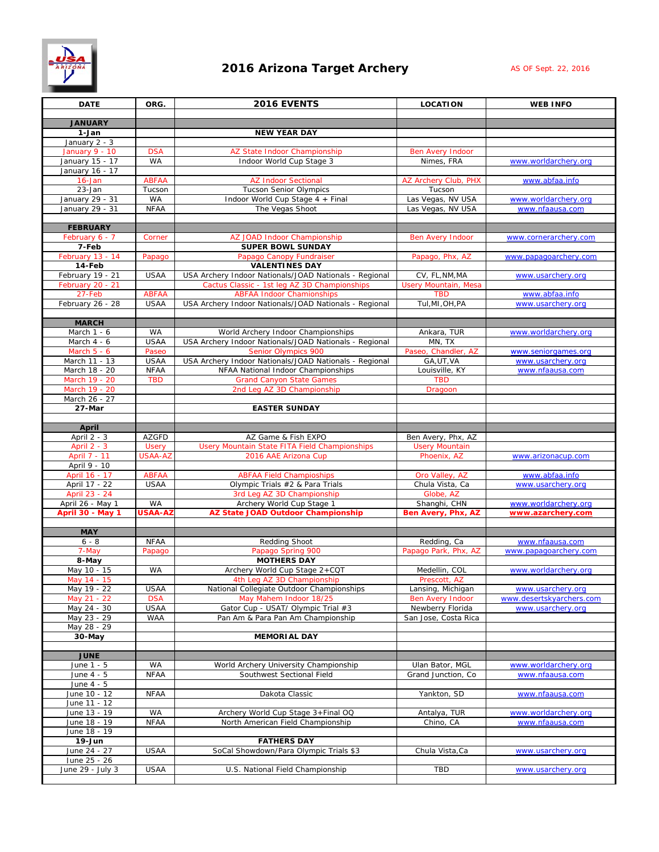## **2016 Arizona Target Archery As** *OF Sept. 22, 2016*



| <b>DATE</b>                          | ORG.                           | 2016 EVENTS                                                                                            | <b>LOCATION</b>                               | <b>WEB INFO</b>                         |
|--------------------------------------|--------------------------------|--------------------------------------------------------------------------------------------------------|-----------------------------------------------|-----------------------------------------|
| <b>JANUARY</b>                       |                                |                                                                                                        |                                               |                                         |
| 1-Jan                                |                                | <b>NEW YEAR DAY</b>                                                                                    |                                               |                                         |
| January 2 - 3                        |                                |                                                                                                        |                                               |                                         |
| January 9 - 10<br>January 15 - 17    | <b>DSA</b><br><b>WA</b>        | AZ State Indoor Championship<br>Indoor World Cup Stage 3                                               | <b>Ben Avery Indoor</b><br>Nimes, FRA         | www.worldarchery.org                    |
| January 16 - 17                      |                                |                                                                                                        |                                               |                                         |
| $16$ -Jan                            | <b>ABFAA</b>                   | <b>AZ Indoor Sectional</b>                                                                             | AZ Archery Club, PHX                          | www.abfaa.info                          |
| 23-Jan                               | Tucson                         | <b>Tucson Senior Olympics</b>                                                                          | Tucson                                        |                                         |
| January 29 - 31<br>January 29 - 31   | WA<br><b>NFAA</b>              | Indoor World Cup Stage 4 + Final<br>The Vegas Shoot                                                    | Las Vegas, NV USA<br>Las Vegas, NV USA        | www.worldarchery.org<br>www.nfaausa.com |
|                                      |                                |                                                                                                        |                                               |                                         |
| <b>FEBRUARY</b>                      |                                |                                                                                                        |                                               |                                         |
| February 6 - 7<br>7-Feb              | Corner                         | AZ JOAD Indoor Championship<br><b>SUPER BOWL SUNDAY</b>                                                | <b>Ben Avery Indoor</b>                       | www.cornerarchery.com                   |
| February 13 - 14                     | Papago                         | Papago Canopy Fundraiser                                                                               | Papago, Phx, AZ                               | www.papagoarchery.com                   |
| 14-Feb                               |                                | <b>VALENTINES DAY</b>                                                                                  |                                               |                                         |
| February 19 - 21<br>February 20 - 21 | <b>USAA</b>                    | USA Archery Indoor Nationals/JOAD Nationals - Regional<br>Cactus Classic - 1st leg AZ 3D Championships | CV, FL, NM, MA<br><b>Usery Mountain, Mesa</b> | www.usarchery.org                       |
| 27-Feb                               | <b>ABFAA</b>                   | <b>ABFAA Indoor Chamionships</b>                                                                       | <b>TBD</b>                                    | www.abfaa.info                          |
| February 26 - 28                     | <b>USAA</b>                    | USA Archery Indoor Nationals/JOAD Nationals - Regional                                                 | Tul, MI, OH, PA                               | www.usarchery.org                       |
| <b>MARCH</b>                         |                                |                                                                                                        |                                               |                                         |
| March 1 - 6                          | <b>WA</b>                      | World Archery Indoor Championships                                                                     | Ankara, TUR                                   | www.worldarchery.org                    |
| March 4 - 6                          | <b>USAA</b>                    | USA Archery Indoor Nationals/JOAD Nationals - Regional                                                 | MN, TX                                        |                                         |
| March 5 - 6                          | Paseo                          | <b>Senior Olympics 900</b>                                                                             | Paseo, Chandler, AZ                           | www.seniorgames.org                     |
| March 11 - 13<br>March 18 - 20       | <b>USAA</b><br><b>NFAA</b>     | USA Archery Indoor Nationals/JOAD Nationals - Regional<br>NFAA National Indoor Championships           | GA, UT, VA<br>Louisville, KY                  | www.usarchery.org<br>www.nfaausa.com    |
| March 19 - 20                        | <b>TBD</b>                     | <b>Grand Canyon State Games</b>                                                                        | <b>TBD</b>                                    |                                         |
| March 19 - 20                        |                                | 2nd Leg AZ 3D Championship                                                                             | Dragoon                                       |                                         |
| March 26 - 27<br>27-Mar              |                                | <b>EASTER SUNDAY</b>                                                                                   |                                               |                                         |
|                                      |                                |                                                                                                        |                                               |                                         |
| April                                |                                |                                                                                                        |                                               |                                         |
| April 2 - 3                          | AZGFD                          | AZ Game & Fish EXPO                                                                                    | Ben Avery, Phx, AZ                            |                                         |
| April $2 - 3$<br>April 7 - 11        | <b>Usery</b><br><b>USAA-AZ</b> | Usery Mountain State FITA Field Championships<br>2016 AAE Arizona Cup                                  | <b>Usery Mountain</b><br>Phoenix, AZ          | www.arizonacup.com                      |
| April 9 - 10                         |                                |                                                                                                        |                                               |                                         |
| April 16 - 17                        | <b>ABFAA</b>                   | <b>ABFAA Field Champioships</b>                                                                        | Oro Valley, AZ                                | www.abfaa.info                          |
| April 17 - 22                        | <b>USAA</b>                    | Olympic Trials #2 & Para Trials<br>3rd Leg AZ 3D Championship                                          | Chula Vista, Ca<br>Globe, AZ                  | www.usarchery.org                       |
| April 23 - 24<br>April 26 - May 1    | <b>WA</b>                      | Archery World Cup Stage 1                                                                              | Shanghi, CHN                                  | www.worldarchery.org                    |
| <b>April 30 - May 1</b>              | <b>USAA-AZ</b>                 | AZ State JOAD Outdoor Championship                                                                     | Ben Avery, Phx, AZ                            | www.azarchery.com                       |
|                                      |                                |                                                                                                        |                                               |                                         |
| <b>MAY</b><br>$6 - 8$                | <b>NFAA</b>                    | <b>Redding Shoot</b>                                                                                   | Redding, Ca                                   | www.nfaausa.com                         |
| 7-May                                | Papago                         | Papago Spring 900                                                                                      | Papago Park, Phx, AZ                          | www.papagoarchery.com                   |
| 8-May                                |                                | <b>MOTHERS DAY</b>                                                                                     |                                               |                                         |
| May 10 - 15                          | <b>WA</b>                      | Archery World Cup Stage 2+CQT                                                                          | Medellin, COL                                 | www.worldarchery.org                    |
| May 14 - 15<br>May 19 - 22           | <b>USAA</b>                    | 4th Leg AZ 3D Championship<br>National Collegiate Outdoor Championships                                | Prescott, AZ<br>Lansing, Michigan             | www.usarchery.org                       |
| May 21 - 22                          | <b>DSA</b>                     | May Mahem Indoor 18/25                                                                                 | <b>Ben Avery Indoor</b>                       | www.desertskyarchers.com                |
| May 24 - 30                          | <b>USAA</b>                    | Gator Cup - USAT/ Olympic Trial #3                                                                     | Newberry Florida                              | www.usarchery.org                       |
| May 23 - 29<br>May 28 - 29           | <b>WAA</b>                     | Pan Am & Para Pan Am Championship                                                                      | San Jose, Costa Rica                          |                                         |
| 30-May                               |                                | <b>MEMORIAL DAY</b>                                                                                    |                                               |                                         |
|                                      |                                |                                                                                                        |                                               |                                         |
| <b>JUNE</b><br>June 1 - 5            | WA                             | World Archery University Championship                                                                  | Ulan Bator, MGL                               | www.worldarchery.org                    |
| June 4 - 5                           | <b>NFAA</b>                    | Southwest Sectional Field                                                                              | Grand Junction, Co                            | www.nfaausa.com                         |
| June 4 - 5                           |                                |                                                                                                        |                                               |                                         |
| June 10 - 12<br>June 11 - 12         | <b>NFAA</b>                    | Dakota Classic                                                                                         | Yankton, SD                                   | www.nfaausa.com                         |
| June 13 - 19                         | <b>WA</b>                      | Archery World Cup Stage 3+Final OQ                                                                     | Antalya, TUR                                  | www.worldarchery.org                    |
| June 18 - 19                         | <b>NFAA</b>                    | North American Field Championship                                                                      | Chino, CA                                     | www.nfaausa.com                         |
| June 18 - 19                         |                                |                                                                                                        |                                               |                                         |
| 19-Jun<br>June 24 - 27               | <b>USAA</b>                    | <b>FATHERS DAY</b><br>SoCal Showdown/Para Olympic Trials \$3                                           | Chula Vista, Ca                               | www.usarchery.org                       |
| June 25 - 26                         |                                |                                                                                                        |                                               |                                         |
| June 29 - July 3                     | <b>USAA</b>                    | U.S. National Field Championship                                                                       | TBD                                           | www.usarchery.org                       |
|                                      |                                |                                                                                                        |                                               |                                         |